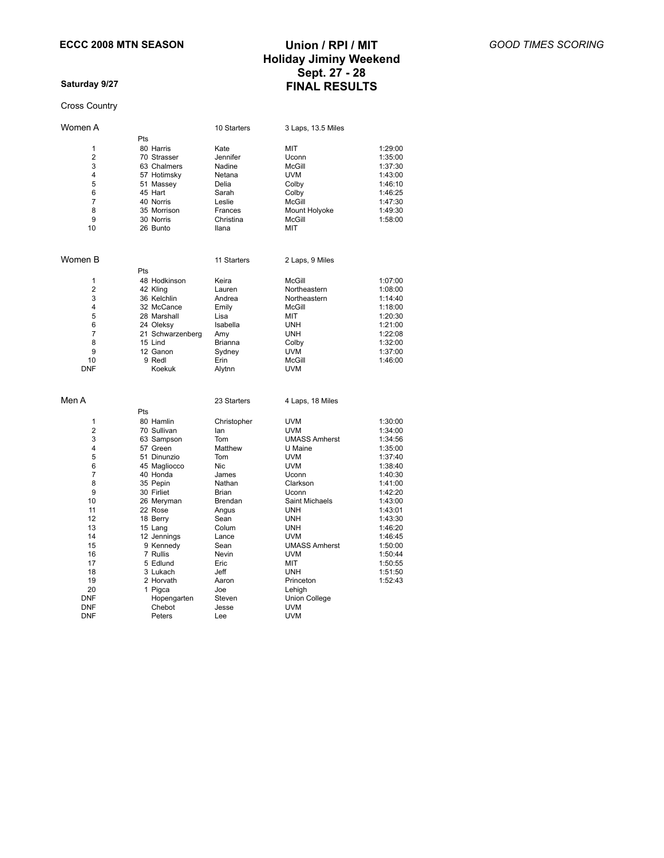### **Saturday 9/27**

#### Cross Country

# **Holiday Jiminy Weekend Sept. 27 - 28 FINAL RESULTS**

| Women A                                                                                                                                                                         |                                                                                                                                                                                                                                                                                                           | 10 Starters                                                                                                                                                                                                    | 3 Laps, 13.5 Miles                                                                                                                                                                                                                                                                                                                    |                                                                                                                                                                                                               |
|---------------------------------------------------------------------------------------------------------------------------------------------------------------------------------|-----------------------------------------------------------------------------------------------------------------------------------------------------------------------------------------------------------------------------------------------------------------------------------------------------------|----------------------------------------------------------------------------------------------------------------------------------------------------------------------------------------------------------------|---------------------------------------------------------------------------------------------------------------------------------------------------------------------------------------------------------------------------------------------------------------------------------------------------------------------------------------|---------------------------------------------------------------------------------------------------------------------------------------------------------------------------------------------------------------|
| 1<br>$\overline{2}$<br>3<br>4<br>5<br>6<br>$\overline{7}$<br>8<br>9<br>10                                                                                                       | Pts<br>80 Harris<br>70 Strasser<br>63 Chalmers<br>57 Hotimsky<br>51 Massey<br>45 Hart<br>40 Norris<br>35 Morrison<br>30 Norris<br>26 Bunto                                                                                                                                                                | Kate<br>Jennifer<br>Nadine<br>Netana<br>Delia<br>Sarah<br>Leslie<br>Frances<br>Christina<br>llana                                                                                                              | MIT<br>Uconn<br><b>McGill</b><br><b>UVM</b><br>Colby<br>Colby<br>McGill<br>Mount Holyoke<br>McGill<br>MIT                                                                                                                                                                                                                             | 1:29:00<br>1:35:00<br>1:37:30<br>1:43:00<br>1:46:10<br>1:46:25<br>1:47:30<br>1:49:30<br>1:58:00                                                                                                               |
| Women B                                                                                                                                                                         |                                                                                                                                                                                                                                                                                                           | 11 Starters                                                                                                                                                                                                    | 2 Laps, 9 Miles                                                                                                                                                                                                                                                                                                                       |                                                                                                                                                                                                               |
| 1<br>2<br>3<br>4<br>5<br>6<br>$\overline{7}$<br>8<br>9<br>10<br><b>DNF</b>                                                                                                      | Pts<br>48 Hodkinson<br>42 Kling<br>36 Kelchlin<br>32 McCance<br>28 Marshall<br>24 Oleksy<br>21 Schwarzenberg<br>15 Lind<br>12 Ganon<br>9 Redl<br>Koekuk                                                                                                                                                   | Keira<br>Lauren<br>Andrea<br>Emily<br>Lisa<br>Isabella<br>Amy<br><b>Brianna</b><br>Sydney<br>Erin<br>Alytnn                                                                                                    | <b>McGill</b><br>Northeastern<br>Northeastern<br>McGill<br>MIT<br><b>UNH</b><br><b>UNH</b><br>Colby<br><b>UVM</b><br>McGill<br><b>UVM</b>                                                                                                                                                                                             | 1:07:00<br>1:08:00<br>1:14:40<br>1:18:00<br>1:20:30<br>1:21:00<br>1:22:08<br>1:32:00<br>1:37:00<br>1:46:00                                                                                                    |
| Men A                                                                                                                                                                           |                                                                                                                                                                                                                                                                                                           | 23 Starters                                                                                                                                                                                                    | 4 Laps, 18 Miles                                                                                                                                                                                                                                                                                                                      |                                                                                                                                                                                                               |
| 1<br>$\overline{2}$<br>3<br>4<br>5<br>6<br>$\overline{7}$<br>8<br>9<br>10<br>11<br>12<br>13<br>14<br>15<br>16<br>17<br>18<br>19<br>20<br><b>DNF</b><br><b>DNF</b><br><b>DNF</b> | Pts<br>80 Hamlin<br>70 Sullivan<br>63 Sampson<br>57 Green<br>51 Dinunzio<br>45 Magliocco<br>40 Honda<br>35 Pepin<br>30 Firliet<br>26 Meryman<br>22 Rose<br>18 Berry<br>15 Lang<br>12 Jennings<br>9 Kennedy<br>7 Rullis<br>5 Edlund<br>3 Lukach<br>2 Horvath<br>1 Pigca<br>Hopengarten<br>Chebot<br>Peters | Christopher<br>lan<br>Tom<br>Matthew<br>Tom<br>Nic<br>James<br>Nathan<br><b>Brian</b><br>Brendan<br>Angus<br>Sean<br>Colum<br>Lance<br>Sean<br>Nevin<br>Eric<br>Jeff<br>Aaron<br>Joe<br>Steven<br>Jesse<br>Lee | <b>UVM</b><br><b>UVM</b><br><b>UMASS Amherst</b><br>U Maine<br><b>UVM</b><br><b>UVM</b><br>Uconn<br>Clarkson<br>Uconn<br>Saint Michaels<br><b>UNH</b><br><b>UNH</b><br><b>UNH</b><br><b>UVM</b><br><b>UMASS Amherst</b><br><b>UVM</b><br>MIT<br><b>UNH</b><br>Princeton<br>Lehigh<br><b>Union College</b><br><b>UVM</b><br><b>UVM</b> | 1:30:00<br>1:34:00<br>1:34:56<br>1:35:00<br>1:37:40<br>1:38:40<br>1:40:30<br>1:41:00<br>1:42:20<br>1:43:00<br>1:43:01<br>1:43:30<br>1:46:20<br>1:46:45<br>1:50:00<br>1:50:44<br>1:50:55<br>1:51:50<br>1:52:43 |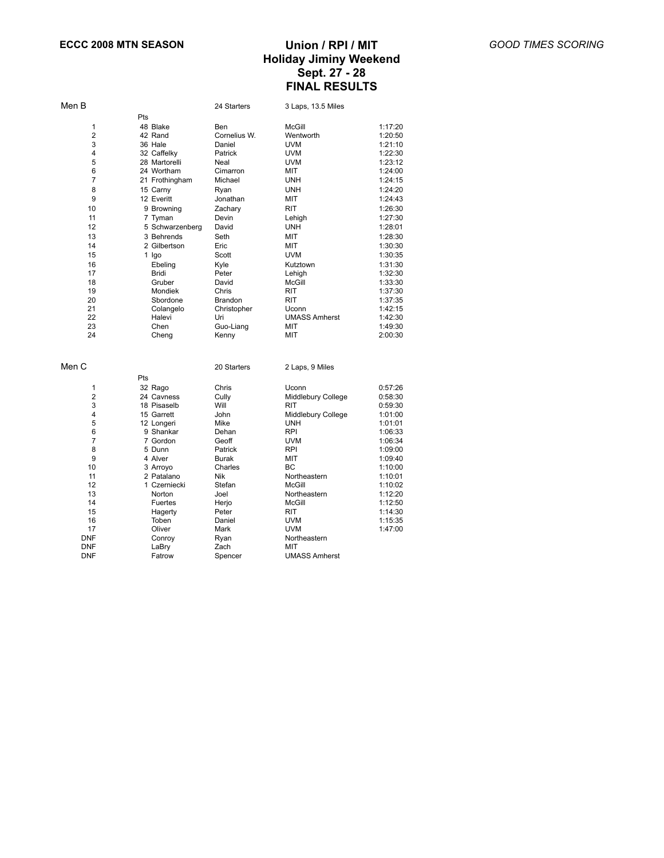| Men B          |                     | 24 Starters        | 3 Laps, 13.5 Miles            |         |
|----------------|---------------------|--------------------|-------------------------------|---------|
|                | Pts                 |                    |                               |         |
| 1              | 48 Blake            | Ben                | McGill                        | 1:17:20 |
| 2              | 42 Rand             | Cornelius W.       | Wentworth                     | 1:20:50 |
| 3              | 36 Hale             | Daniel             | <b>UVM</b>                    | 1:21:10 |
| 4              | 32 Caffelky         | Patrick            | <b>UVM</b>                    | 1:22:30 |
| 5              | 28 Martorelli       | Neal               | <b>UVM</b>                    | 1:23:12 |
| 6              | 24 Wortham          | Cimarron           | MIT                           | 1:24:00 |
| $\overline{7}$ | 21 Frothingham      | Michael            | <b>UNH</b>                    | 1:24:15 |
| 8              | 15 Carny            | Ryan               | <b>UNH</b>                    | 1:24:20 |
| 9              | 12 Everitt          | Jonathan           | <b>MIT</b>                    | 1:24:43 |
| 10             | 9 Browning          | Zachary            | RIT                           | 1:26:30 |
| 11             | 7 Tyman             | Devin              | Lehigh                        | 1:27:30 |
| 12             | 5 Schwarzenberg     | David              | <b>UNH</b>                    | 1:28:01 |
| 13             | 3 Behrends          | Seth               | MIT                           | 1:28:30 |
| 14             | 2 Gilbertson        | Eric               | МIТ                           | 1:30:30 |
| 15             | 1 Igo               | Scott              | <b>UVM</b>                    | 1:30:35 |
| 16             | Ebeling             | Kyle               | Kutztown                      | 1:31:30 |
| 17             |                     | Peter              |                               | 1:32:30 |
| 18             | Bridi<br>Gruber     | David              | Lehigh<br><b>McGill</b>       | 1:33:30 |
| 19             | Mondiek             | Chris              | <b>RIT</b>                    | 1:37:30 |
| 20             | Sbordone            | Brandon            | RIT                           | 1:37:35 |
| 21             |                     |                    |                               | 1:42:15 |
| 22             | Colangelo<br>Halevi | Christopher<br>Uri | Uconn<br><b>UMASS Amherst</b> | 1:42:30 |
| 23             | Chen                | Guo-Liang          | MIT                           | 1:49:30 |
| 24             | Cheng               | Kenny              | MIT                           | 2:00:30 |
|                |                     |                    |                               |         |
| Men C          |                     | 20 Starters        | 2 Laps, 9 Miles               |         |
|                | Pts                 |                    |                               |         |
| 1              | 32 Rago             | Chris              | Uconn                         | 0:57:26 |
| $\overline{2}$ | 24 Cavness          | Cully              | Middlebury College            | 0:58:30 |
| 3              | 18 Pisaselb         | Will               | RIT                           | 0:59:30 |
| 4              | 15 Garrett          | John               | Middlebury College            | 1:01:00 |
| 5              | 12 Longeri          | Mike               | <b>UNH</b>                    | 1:01:01 |
| 6              | 9 Shankar           | Dehan              | <b>RPI</b>                    | 1:06:33 |
| $\overline{7}$ | 7 Gordon            | Geoff              | <b>UVM</b>                    | 1:06:34 |
| 8              | 5 Dunn              | Patrick            | <b>RPI</b>                    | 1:09:00 |
| 9              | 4 Alver             | Burak              | MIT                           | 1:09:40 |
| 10             | 3 Arroyo            | Charles            | BC                            | 1:10:00 |
| 11             | 2 Patalano          | Nik                | Northeastern                  | 1:10:01 |
| 12             | 1 Czerniecki        | Stefan             | <b>McGill</b>                 | 1:10:02 |
| 13             | Norton              | Joel               | Northeastern                  | 1:12:20 |
| 14             | Fuertes             | Herjo              | <b>McGill</b>                 | 1:12:50 |
| 15             | Hagerty             | Peter              | RIT                           | 1:14:30 |
| 16             | Toben               | Daniel             | <b>UVM</b>                    | 1:15:35 |
| 17             | Oliver              | Mark               | <b>UVM</b>                    | 1:47:00 |
| <b>DNF</b>     | Conroy              | Ryan               | Northeastern                  |         |
| <b>DNF</b>     | LaBry               | Zach               | MIT                           |         |
| DNF            | Fatrow              | Spencer            | <b>UMASS Amherst</b>          |         |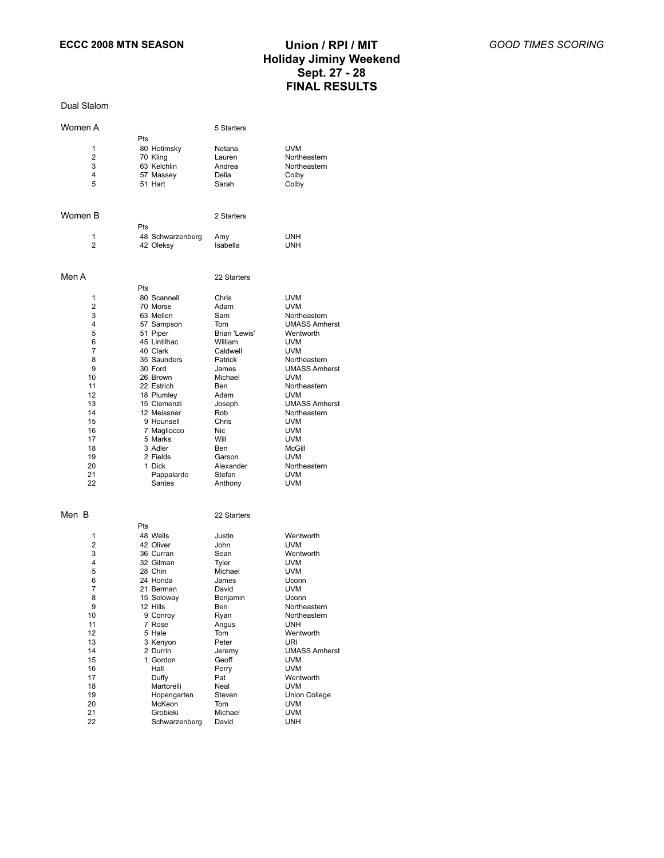Dual Slalom

| Women A  |                         | 5 Starters          |                            |
|----------|-------------------------|---------------------|----------------------------|
|          | Pts                     |                     |                            |
| 1        | 80 Hotimsky             | Netana              | <b>UVM</b>                 |
| 2        | 70 Kling                | Lauren              | Northeastern               |
| 3        | 63 Kelchlin             | Andrea              | Northeastern               |
| 4        | 57 Massey               | Delia               | Colby                      |
| 5        | 51 Hart                 | Sarah               | Colby                      |
| Women B  |                         | 2 Starters          |                            |
|          | Pts                     |                     |                            |
| 1        | 48 Schwarzenberg        | Amy                 | UNH                        |
| 2        | 42 Oleksy               | Isabella            | UNH                        |
| Men A    |                         | 22 Starters         |                            |
|          | Pts                     |                     |                            |
| 1        | 80 Scannell             | Chris               | <b>UVM</b>                 |
| 2        | 70 Morse                | Adam                | <b>UVM</b>                 |
| 3        | 63 Mellen               | Sam                 | Northeastern               |
| 4        | 57 Sampson              | Tom                 | <b>UMASS Amherst</b>       |
| 5        | 51 Piper                | Brian 'Lewis'       | Wentworth                  |
| 6        | 45 Lintilhac            | William             | <b>UVM</b>                 |
| 7<br>8   | 40 Clark<br>35 Saunders | Caldwell<br>Patrick | <b>UVM</b><br>Northeastern |
| 9        | 30 Ford                 | James               | <b>UMASS Amherst</b>       |
| 10       | 26 Brown                | Michael             | <b>UVM</b>                 |
| 11       | 22 Estrich              | Ben                 | Northeastern               |
| 12       | 18 Plumley              | Adam                | <b>UVM</b>                 |
| 13       | 15 Clemenzi             | Joseph              | <b>UMASS Amherst</b>       |
| 14       | 12 Meissner             | Rob                 | Northeastern               |
| 15       | 9 Hounsell              | Chris               | <b>UVM</b>                 |
| 16       | 7 Magliocco             | Nic                 | <b>UVM</b>                 |
| 17       | 5 Marks                 | Will                | <b>UVM</b>                 |
| 18       | 3 Adler                 | Ben                 | McGill                     |
| 19<br>20 | 2 Fields<br>1 Dick      | Garson<br>Alexander | <b>UVM</b><br>Northeastern |
| 21       | Pappalardo              | Stefan              | <b>UVM</b>                 |
| 22       | Santes                  | Anthony             | <b>UVM</b>                 |
| Men B    |                         |                     |                            |
|          | Pts                     | 22 Starters         |                            |
| 1        | 48 Wells                | Justin              | Wentworth                  |
| 2        | 42 Oliver               | John                | <b>UVM</b>                 |
| 3        | 36 Curran               | Sean                | Wentworth                  |
| 4        | 32 Gilman               | Tyler               | <b>UVM</b>                 |
| 5        | 28 Chin                 | Michael             | <b>UVM</b>                 |
| 6        | 24 Honda                | James               | Uconn                      |
| 7        | 21 Berman               | David               | <b>UVM</b>                 |
| 8        | 15 Soloway              | Benjamin            | Uconn                      |
| 9        | 12 Hills                | Ben                 | Northeastern               |
| 10       | 9 Conroy                | Ryan                | Northeastern               |
| 11<br>12 | 7 Rose<br>5 Hale        | Angus<br>Tom        | <b>UNH</b><br>Wentworth    |
| 13       | 3 Kenyon                | Peter               | URI                        |
| 14       | 2 Durrin                | Jeremy              | <b>UMASS Amherst</b>       |
| 15       | 1 Gordon                | Geoff               | UVM                        |
| 16       | Hall                    | Perry               | UVM                        |
| 17       | Duffy                   | Pat                 | Wentworth                  |
| 18       | Martorelli              | Neal                | <b>UVM</b>                 |
| 19       | Hopengarten             | Steven              | Union College              |
| 20       | McKeon                  | Tom                 | <b>UVM</b>                 |
| 21       | Grobieki                | Michael             | <b>UVM</b>                 |
| 22       | Schwarzenberg           | David               | <b>UNH</b>                 |
|          |                         |                     |                            |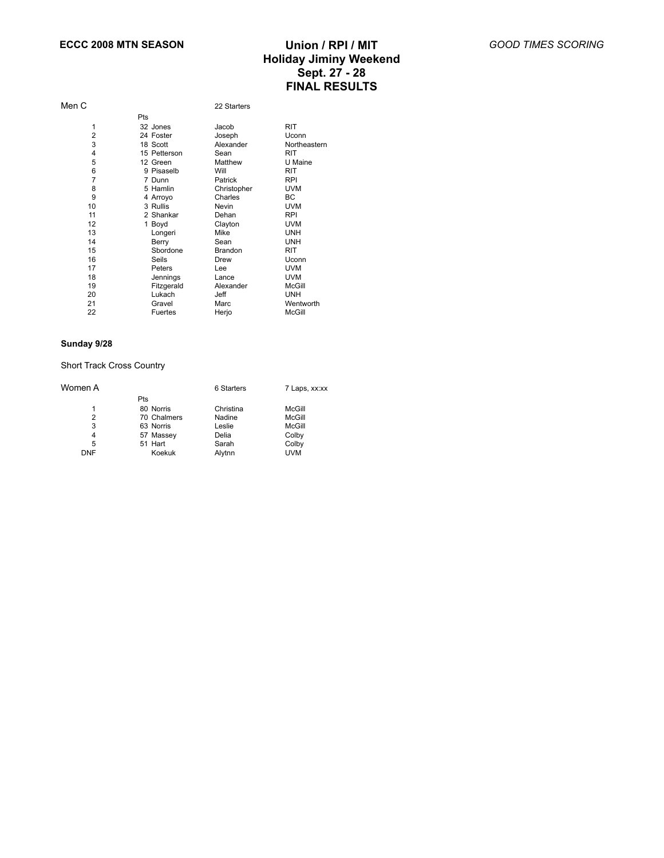| Men C          |              | 22 Starters |               |
|----------------|--------------|-------------|---------------|
|                | Pts          |             |               |
| 1              | 32 Jones     | Jacob       | <b>RIT</b>    |
| $\overline{2}$ | 24 Foster    | Joseph      | Uconn         |
| 3              | 18 Scott     | Alexander   | Northeastern  |
| 4              | 15 Petterson | Sean        | <b>RIT</b>    |
| 5              | 12 Green     | Matthew     | U Maine       |
| 6              | 9 Pisaselb   | Will        | <b>RIT</b>    |
| $\overline{7}$ | 7 Dunn       | Patrick     | <b>RPI</b>    |
| 8              | 5 Hamlin     | Christopher | <b>UVM</b>    |
| 9              | 4 Arroyo     | Charles     | BC            |
| 10             | 3 Rullis     | Nevin       | <b>UVM</b>    |
| 11             | 2 Shankar    | Dehan       | <b>RPI</b>    |
| 12             | 1 Boyd       | Clayton     | <b>UVM</b>    |
| 13             | Longeri      | Mike        | <b>UNH</b>    |
| 14             | Berry        | Sean        | <b>UNH</b>    |
| 15             | Sbordone     | Brandon     | <b>RIT</b>    |
| 16             | Seils        | Drew        | Uconn         |
| 17             | Peters       | Lee         | <b>UVM</b>    |
| 18             | Jennings     | Lance       | <b>UVM</b>    |
| 19             | Fitzgerald   | Alexander   | McGill        |
| 20             | Lukach       | Jeff        | <b>UNH</b>    |
| 21             | Gravel       | Marc        | Wentworth     |
| 22             | Fuertes      | Herjo       | <b>McGill</b> |

#### **Sunday 9/28**

### Short Track Cross Country

| Women A    |             | 6 Starters | 7 Laps, xx:xx |
|------------|-------------|------------|---------------|
|            | Pts         |            |               |
|            | 80 Norris   | Christina  | McGill        |
| 2          | 70 Chalmers | Nadine     | McGill        |
| 3          | 63 Norris   | Leslie     | McGill        |
| 4          | 57 Massey   | Delia      | Colby         |
| 5          | 51 Hart     | Sarah      | Colby         |
| <b>DNF</b> | Koekuk      | Alytnn     | <b>UVM</b>    |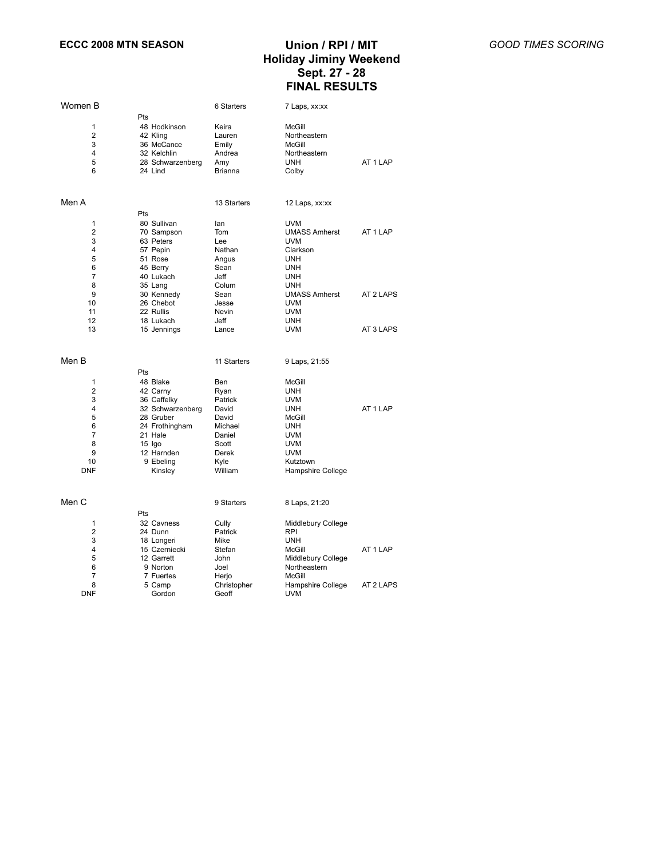| Women B         |                                 | 6 Starters           | 7 Laps, xx:xx                    |           |
|-----------------|---------------------------------|----------------------|----------------------------------|-----------|
|                 | Pts                             |                      |                                  |           |
| 1               | 48 Hodkinson                    | Keira                | McGill                           |           |
| 2               | 42 Kling                        | Lauren               | Northeastern                     |           |
| 3               | 36 McCance                      | Emily                | McGill                           |           |
| 4               | 32 Kelchlin                     | Andrea               | Northeastern                     |           |
| 5               | 28 Schwarzenberg                | Amy                  | <b>UNH</b>                       | AT 1 LAP  |
| 6               | 24 Lind                         | Brianna              | Colby                            |           |
|                 |                                 |                      |                                  |           |
| Men A           |                                 | 13 Starters          | 12 Laps, xx:xx                   |           |
|                 | Pts                             |                      |                                  |           |
| 1               | 80 Sullivan                     | lan                  | <b>UVM</b>                       |           |
| $\overline{2}$  | 70 Sampson                      | Tom                  | <b>UMASS Amherst</b>             | AT 1 LAP  |
| 3               | 63 Peters                       | Lee                  | <b>UVM</b>                       |           |
| 4               | 57 Pepin                        | Nathan               | Clarkson                         |           |
| 5               | 51 Rose                         | Angus                | <b>UNH</b>                       |           |
| 6               | 45 Berry                        | Sean                 | UNH                              |           |
| 7               | 40 Lukach                       | Jeff                 | <b>UNH</b>                       |           |
| 8               | 35 Lang                         | Colum                | <b>UNH</b>                       |           |
| 9               | 30 Kennedy                      | Sean                 | <b>UMASS Amherst</b>             | AT 2 LAPS |
| 10              | 26 Chebot                       | Jesse                | <b>UVM</b>                       |           |
| 11              | 22 Rullis                       | Nevin                | UVM                              |           |
| 12              | 18 Lukach                       | Jeff                 | <b>UNH</b>                       |           |
| 13              | 15 Jennings                     | Lance                | <b>UVM</b>                       | AT 3 LAPS |
|                 |                                 |                      |                                  |           |
| Men B           |                                 | 11 Starters          | 9 Laps, 21:55                    |           |
|                 | Pts                             |                      |                                  |           |
| 1               | 48 Blake                        | Ben                  | McGill                           |           |
| 2               | 42 Carny                        |                      | UNH                              |           |
| 3               |                                 | Ryan<br>Patrick      | <b>UVM</b>                       |           |
| 4               | 36 Caffelky<br>32 Schwarzenberg | David                | <b>UNH</b>                       | AT 1 LAP  |
| 5               | 28 Gruber                       | David                | <b>McGill</b>                    |           |
| 6               |                                 |                      |                                  |           |
| $\overline{7}$  | 24 Frothingham                  | Michael              | <b>UNH</b>                       |           |
|                 | 21 Hale                         | Daniel               | <b>UVM</b>                       |           |
| 8<br>9          | 15 Igo                          | Scott                | UVM<br><b>UVM</b>                |           |
|                 | 12 Harnden                      | Derek                |                                  |           |
| 10              | 9 Ebeling                       | Kyle                 | Kutztown                         |           |
| DNF             | Kinsley                         | William              | <b>Hampshire College</b>         |           |
| Men C           |                                 | 9 Starters           | 8 Laps, 21:20                    |           |
|                 | Pts                             |                      |                                  |           |
| 1               | 32 Cavness                      |                      |                                  |           |
| 2               | 24 Dunn                         | Cully<br>Patrick     | Middlebury College<br><b>RPI</b> |           |
| 3               |                                 |                      | <b>UNH</b>                       |           |
| 4               | 18 Longeri<br>15 Czerniecki     | Mike<br>Stefan       | McGill                           | AT 1 LAP  |
|                 |                                 |                      |                                  |           |
|                 |                                 |                      |                                  |           |
| 5               | 12 Garrett                      | John                 | Middlebury College               |           |
| 6               | 9 Norton                        | Joel                 | Northeastern                     |           |
| $\overline{7}$  | 7 Fuertes                       | Herjo                | McGill                           |           |
| 8<br><b>DNF</b> | 5 Camp<br>Gordon                | Christopher<br>Geoff | Hampshire College<br><b>UVM</b>  | AT 2 LAPS |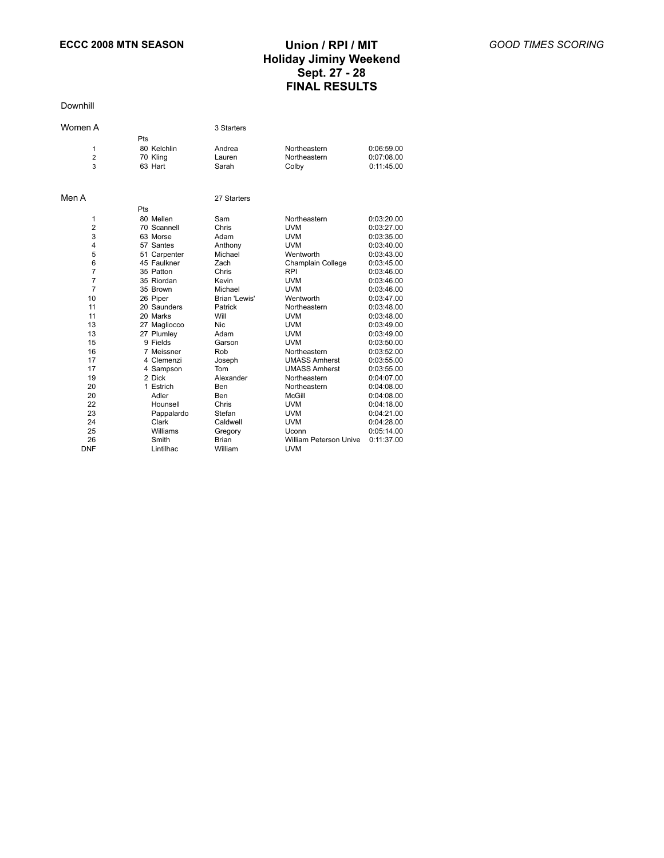Downhill

| Women A                  |     |                                    | 3 Starters                |                                       |                                        |
|--------------------------|-----|------------------------------------|---------------------------|---------------------------------------|----------------------------------------|
| 1<br>$\overline{2}$<br>3 | Pts | 80 Kelchlin<br>70 Kling<br>63 Hart | Andrea<br>Lauren<br>Sarah | Northeastern<br>Northeastern<br>Colby | 0:06:59.00<br>0:07:08.00<br>0:11:45.00 |
| Men A                    |     |                                    | 27 Starters               |                                       |                                        |
|                          | Pts |                                    |                           |                                       |                                        |
| 1                        |     | 80 Mellen                          | Sam                       | Northeastern                          | 0:03:20.00                             |
| $\overline{2}$           |     | 70 Scannell                        | Chris                     | <b>UVM</b>                            | 0:03:27.00                             |
| 3                        |     | 63 Morse                           | Adam                      | <b>UVM</b>                            | 0:03:35.00                             |
| 4                        |     | 57 Santes                          | Anthony                   | <b>UVM</b>                            | 0:03:40.00                             |
| 5                        |     | 51 Carpenter                       | Michael                   | Wentworth                             | 0:03:43.00                             |
| 6                        |     | 45 Faulkner                        | Zach                      | Champlain College                     | 0:03:45.00                             |
| $\overline{7}$           |     | 35 Patton                          | Chris                     | <b>RPI</b>                            | 0:03:46.00                             |
| 7                        |     | 35 Riordan                         | Kevin                     | <b>UVM</b>                            | 0:03:46.00                             |
| $\overline{7}$           |     | 35 Brown                           | Michael                   | <b>UVM</b>                            | 0:03:46.00                             |
| 10                       |     | 26 Piper                           | Brian 'Lewis'             | Wentworth                             | 0:03:47.00                             |
| 11                       |     | 20 Saunders                        | Patrick                   | Northeastern                          | 0:03:48.00                             |
| 11                       |     | 20 Marks                           | Will                      | <b>UVM</b>                            | 0:03:48.00                             |
| 13                       |     | 27 Magliocco                       | <b>Nic</b>                | <b>UVM</b>                            | 0:03:49.00                             |
| 13                       |     | 27 Plumley                         | Adam                      | <b>UVM</b>                            | 0:03:49.00                             |
| 15                       |     | 9 Fields                           | Garson                    | <b>UVM</b>                            | 0:03:50.00                             |
| 16                       |     | 7 Meissner                         | Rob                       | Northeastern                          | 0:03:52.00                             |
| 17                       |     | 4 Clemenzi                         | Joseph                    | <b>UMASS Amherst</b>                  | 0:03:55.00                             |
| 17                       |     | 4 Sampson                          | Tom                       | <b>UMASS Amherst</b>                  | 0:03:55.00                             |
| 19                       |     | 2 Dick                             | Alexander                 | Northeastern                          | 0:04:07.00                             |
| 20                       |     | 1 Estrich                          | Ben                       | Northeastern                          | 0:04:08.00                             |
| 20                       |     | Adler                              | Ben                       | <b>McGill</b>                         | 0:04:08.00                             |
| 22                       |     | Hounsell                           | Chris                     | <b>UVM</b>                            | 0:04:18.00                             |
| 23                       |     | Pappalardo                         | Stefan                    | <b>UVM</b>                            | 0:04:21.00                             |
| 24                       |     | Clark                              | Caldwell                  | <b>UVM</b>                            | 0:04:28.00                             |
| 25                       |     | Williams                           | Gregory                   | Uconn                                 | 0:05:14.00                             |
| 26                       |     | Smith                              | <b>Brian</b>              | <b>William Peterson Unive</b>         | 0:11:37.00                             |
| <b>DNF</b>               |     | Lintilhac                          | William                   | <b>UVM</b>                            |                                        |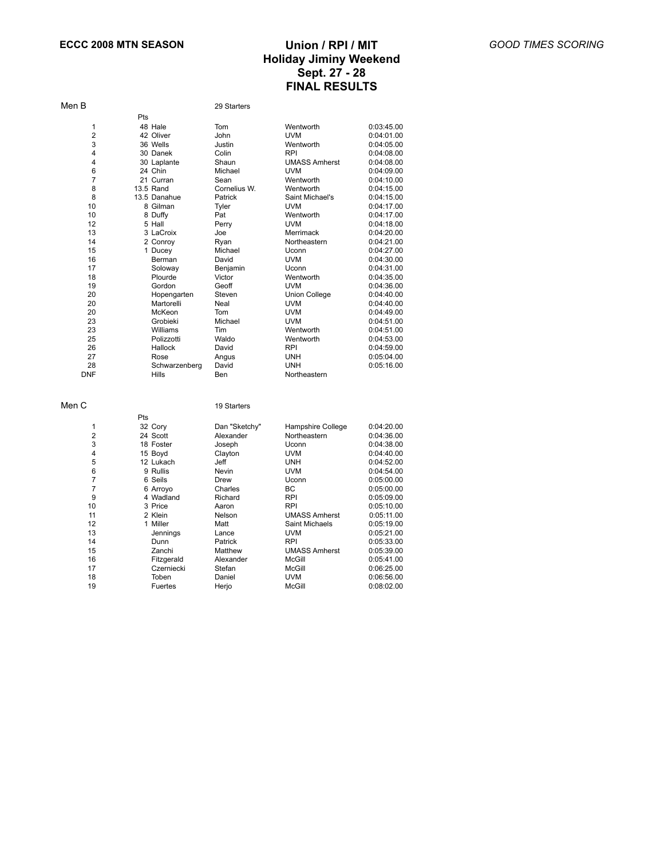$0:08:02.00$ 

| Men B<br>29 Starters                                    |            |
|---------------------------------------------------------|------------|
| Pts                                                     |            |
| 1<br>48 Hale<br>Tom<br>Wentworth                        | 0:03:45.00 |
| $\overline{2}$<br>42 Oliver<br>John<br><b>UVM</b>       | 0:04:01.00 |
| 3<br>36 Wells<br>Justin<br>Wentworth                    | 0:04:05.00 |
| 4<br><b>RPI</b><br>30 Danek<br>Colin                    | 0:04:08.00 |
| 4<br>30 Laplante<br>Shaun<br><b>UMASS Amherst</b>       | 0:04:08.00 |
| 6<br>24 Chin<br>Michael<br><b>UVM</b>                   | 0:04:09.00 |
| $\overline{7}$<br>21 Curran<br>Sean<br>Wentworth        | 0:04:10.00 |
| 8<br>13.5 Rand<br>Cornelius W.<br>Wentworth             | 0:04:15.00 |
| 8<br>13.5 Danahue<br>Patrick<br>Saint Michael's         | 0:04:15.00 |
| 10<br>8 Gilman<br><b>UVM</b><br>Tyler                   | 0:04:17.00 |
| 10<br>8 Duffy<br>Pat<br>Wentworth                       | 0:04:17.00 |
| 12<br>5 Hall<br><b>UVM</b><br>Perry                     | 0:04:18.00 |
| 13<br>3 LaCroix<br>Joe<br>Merrimack                     | 0:04:20.00 |
| 14<br>Northeastern<br>2 Conroy<br>Ryan                  | 0:04:21.00 |
| 15<br>Michael<br>1 Ducey<br>Uconn                       | 0:04:27.00 |
| 16<br><b>UVM</b><br>Berman<br>David                     | 0:04:30.00 |
| 17<br>Soloway<br>Benjamin<br>Uconn                      | 0:04:31.00 |
| 18<br>Plourde<br>Victor<br>Wentworth                    | 0:04:35.00 |
| 19<br>Gordon<br>Geoff<br><b>UVM</b>                     | 0:04:36.00 |
| 20<br><b>Union College</b><br>Hopengarten<br>Steven     | 0:04:40.00 |
| 20<br>Martorelli<br>Neal<br><b>UVM</b>                  | 0:04:40.00 |
| 20<br>McKeon<br>Tom<br><b>UVM</b>                       | 0:04:49.00 |
| 23<br>Grobieki<br>Michael<br><b>UVM</b>                 | 0:04:51.00 |
| 23<br>Williams<br>Wentworth<br>Tim                      | 0:04:51.00 |
| 25<br>Waldo<br>Polizzotti<br>Wentworth                  | 0:04:53.00 |
| 26<br>Hallock<br>David<br><b>RPI</b>                    | 0:04:59.00 |
| 27<br><b>UNH</b><br>Rose<br>Angus                       | 0:05:04.00 |
| 28<br>David<br><b>UNH</b><br>Schwarzenberg              | 0:05:16.00 |
| <b>DNF</b><br><b>Hills</b><br>Northeastern<br>Ben       |            |
| Men C<br>19 Starters                                    |            |
| Pts                                                     |            |
| 1<br>32 Cory<br>Dan "Sketchy"<br>Hampshire College      | 0:04:20.00 |
| $\overline{2}$<br>Northeastern<br>24 Scott<br>Alexander | 0:04:36.00 |
| 3<br>18 Foster<br>Joseph<br>Uconn                       | 0:04:38.00 |
| 4<br>15 Boyd<br><b>UVM</b><br>Clayton                   | 0:04:40.00 |
| 5<br>12 Lukach<br>Jeff<br>UNH                           | 0:04:52.00 |

 12 Lukach Jeff UNH 0:04:52.00 9 Rullis Nevin UVM 0:04:54.00 6 Seils Drew Uconn 0:05:00.00 6 Arroyo Charles BC 0:05:00.00

 3 Price Aaron RPI 0:05:10.00 11 2 Klein 1 Nelson UMASS Amherst 0:05:11.00<br>12 1 Miller 1 Matt 1 Saint Michaels 0:05:19.00

13 Jennings Lance UVM 0:05:21.00<br>
14 Dunn Patrick RPI 0:05:33.00 14 Dunn Patrick RPI 0:05:33.00<br>15 Zanchi Matthew UMASS Amherst 0:05:39.00<br>16 Fitzgerald Alexander McGill 0:05:41.00

 Czerniecki Stefan McGill 0:06:25.00 Toben Daniel UVM 0:06:56.00

Fitzgerald Alexander McGill 0:05:41.00

9 4 Wadland Richard RPI 9<br>10 3 Price Aaron RPI

1 Miller Matt Saint Michaels 0:05:19.00

15 Zanchi Matthew UMASS Amherst<br>16 Fitzgerald Alexander McGill